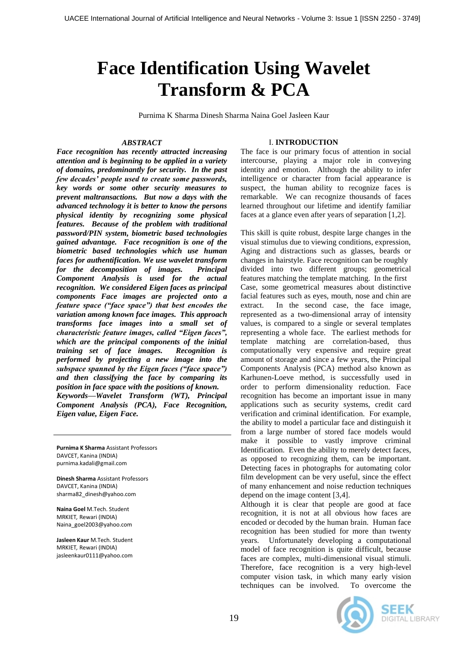# **Face Identification Using Wavelet Transform & PCA**

Purnima K Sharma Dinesh Sharma Naina Goel Jasleen Kaur

## *ABSTRACT*

*Face recognition has recently attracted increasing attention and is beginning to be applied in a variety of domains, predominantly for security. In the past few decades' people used to create some passwords, key words or some other security measures to prevent maltransactions. But now a days with the advanced technology it is better to know the persons physical identity by recognizing some physical features. Because of the problem with traditional password/PIN system, biometric based technologies gained advantage. Face recognition is one of the biometric based technologies which use human faces for authentification. We use wavelet transform for the decomposition of images. Principal Component Analysis is used for the actual recognition. We considered Eigen faces as principal components Face images are projected onto a feature space ("face space") that best encodes the variation among known face images. This approach transforms face images into a small set of characteristic feature images, called "Eigen faces", which are the principal components of the initial training set of face images. Recognition is performed by projecting a new image into the subspace spanned by the Eigen faces ("face space") and then classifying the face by comparing its position in face space with the positions of known. Keywords—Wavelet Transform (WT), Principal* 

*Component Analysis (PCA), Face Recognition, Eigen value, Eigen Face.*

**Purnima K Sharma** Assistant Professors DAVCET, Kanina (INDIA) purnima.kadali@gmail.com

**Dinesh Sharma** Assistant Professors DAVCET, Kanina (INDIA) sharma82\_dinesh@yahoo.com

**Naina Goel** M.Tech. Student MRKIET*,* Rewari (INDIA) Naina\_goel2003@yahoo.com

 $\overline{a}$ 

**Jasleen Kaur** M.Tech. Student MRKIET*,* Rewari (INDIA) jasleenkaur0111@yahoo.com

# I. **INTRODUCTION**

The face is our primary focus of attention in social intercourse, playing a major role in conveying identity and emotion. Although the ability to infer intelligence or character from facial appearance is suspect, the human ability to recognize faces is remarkable. We can recognize thousands of faces learned throughout our lifetime and identify familiar faces at a glance even after years of separation [1,2].

This skill is quite robust, despite large changes in the visual stimulus due to viewing conditions, expression, Aging and distractions such as glasses, beards or changes in hairstyle. Face recognition can be roughly divided into two different groups; geometrical features matching the template matching. In the first Case, some geometrical measures about distinctive facial features such as eyes, mouth, nose and chin are extract. In the second case, the face image, represented as a two-dimensional array of intensity values, is compared to a single or several templates representing a whole face. The earliest methods for template matching are correlation-based, thus computationally very expensive and require great amount of storage and since a few years, the Principal Components Analysis (PCA) method also known as Karhunen-Loeve method, is successfully used in order to perform dimensionality reduction. Face recognition has become an important issue in many applications such as security systems, credit card verification and criminal identification. For example, the ability to model a particular face and distinguish it from a large number of stored face models would make it possible to vastly improve criminal Identification. Even the ability to merely detect faces, as opposed to recognizing them, can be important. Detecting faces in photographs for automating color film development can be very useful, since the effect of many enhancement and noise reduction techniques depend on the image content [3,4].

Although it is clear that people are good at face recognition, it is not at all obvious how faces are encoded or decoded by the human brain. Human face recognition has been studied for more than twenty years. Unfortunately developing a computational model of face recognition is quite difficult, because faces are complex, multi-dimensional visual stimuli. Therefore, face recognition is a very high-level computer vision task, in which many early vision<br>techniques can be involved. To overcome the techniques can be involved.



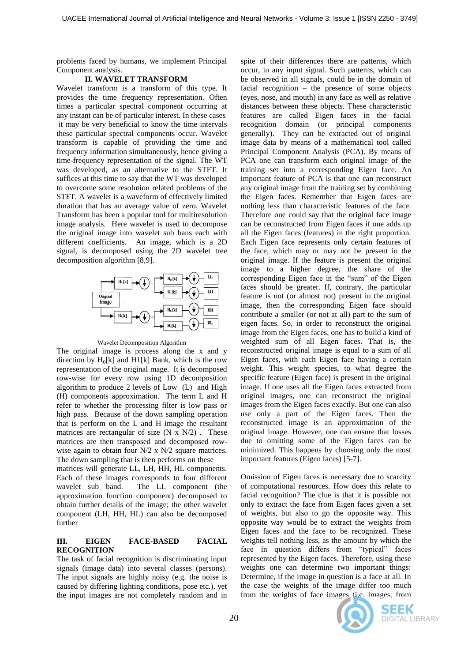problems faced by humans, we implement Principal Component analysis.

## **II. WAVELET TRANSFORM**

Wavelet transform is a transform of this type. It provides the time frequency representation. Often times a particular spectral component occurring at any instant can be of particular interest. In these cases it may be very beneficial to know the time intervals these particular spectral components occur. Wavelet transform is capable of providing the time and frequency information simultaneously, hence giving a time-frequency representation of the signal. The WT was developed, as an alternative to the STFT. It suffices at this time to say that the WT was developed to overcome some resolution related problems of the STFT. A wavelet is a waveform of effectively limited duration that has an average value of zero. Wavelet Transform has been a popular tool for multiresolution image analysis. Here wavelet is used to decompose the original image into wavelet sub bans each with different coefficients. An image, which is a 2D signal, is decomposed using the 2D wavelet tree decomposition algorithm [8,9].



#### Wavelet Decomposition Algorithm

The original image is process along the x and y direction by  $H_0[k]$  and  $H1[k]$  Bank, which is the row representation of the original mage. It is decomposed row-wise for every row using 1D decomposition algorithm to produce 2 levels of Low (L) and High (H) components approximation. The term L and H refer to whether the processing filter is low pass or high pass. Because of the down sampling operation that is perform on the L and H image the resultant matrices are rectangular of size  $(N \times N/2)$ . These matrices are then transposed and decomposed rowwise again to obtain four N/2 x N/2 square matrices. The down sampling that is then performs on these

matrices will generate LL, LH, HH, HL components. Each of these images corresponds to four different wavelet sub band. The LL component (the approximation function component) decomposed to obtain further details of the image; the other wavelet component (LH, HH, HL) can also be decomposed further

# **III. EIGEN FACE-BASED FACIAL RECOGNITION**

The task of facial recognition is discriminating input signals (image data) into several classes (persons). The input signals are highly noisy (e.g. the noise is caused by differing lighting conditions, pose etc.), yet the input images are not completely random and in

spite of their differences there are patterns, which occur, in any input signal. Such patterns, which can be observed in all signals, could be in the domain of facial recognition – the presence of some objects (eyes, nose, and mouth) in any face as well as relative distances between these objects. These characteristic features are called Eigen faces in the facial recognition domain (or principal components generally). They can be extracted out of original image data by means of a mathematical tool called Principal Component Analysis (PCA). By means of PCA one can transform each original image of the training set into a corresponding Eigen face. An important feature of PCA is that one can reconstruct any original image from the training set by combining the Eigen faces. Remember that Eigen faces are nothing less than characteristic features of the face. Therefore one could say that the original face image can be reconstructed from Eigen faces if one adds up all the Eigen faces (features) in the right proportion. Each Eigen face represents only certain features of the face, which may or may not be present in the original image. If the feature is present the original image to a higher degree, the share of the corresponding Eigen face in the "sum" of the Eigen faces should be greater. If, contrary, the particular feature is not (or almost not) present in the original image, then the corresponding Eigen face should contribute a smaller (or not at all) part to the sum of eigen faces. So, in order to reconstruct the original image from the Eigen faces, one has to build a kind of weighted sum of all Eigen faces. That is, the reconstructed original image is equal to a sum of all Eigen faces, with each Eigen face having a certain weight. This weight species, to what degree the specific feature (Eigen face) is present in the original image. If one uses all the Eigen faces extracted from original images, one can reconstruct the original images from the Eigen faces exactly. But one can also use only a part of the Eigen faces. Then the reconstructed image is an approximation of the original image. However, one can ensure that losses due to omitting some of the Eigen faces can be minimized. This happens by choosing only the most important features (Eigen faces) [5-7].

Omission of Eigen faces is necessary due to scarcity of computational resources. How does this relate to facial recognition? The clue is that it is possible not only to extract the face from Eigen faces given a set of weights, but also to go the opposite way. This opposite way would be to extract the weights from Eigen faces and the face to be recognized. These weights tell nothing less, as the amount by which the face in question differs from "typical" faces represented by the Eigen faces. Therefore, using these weights one can determine two important things: Determine, if the image in question is a face at all. In the case the weights of the image differ too much from the weights of face images (i.e. images, from

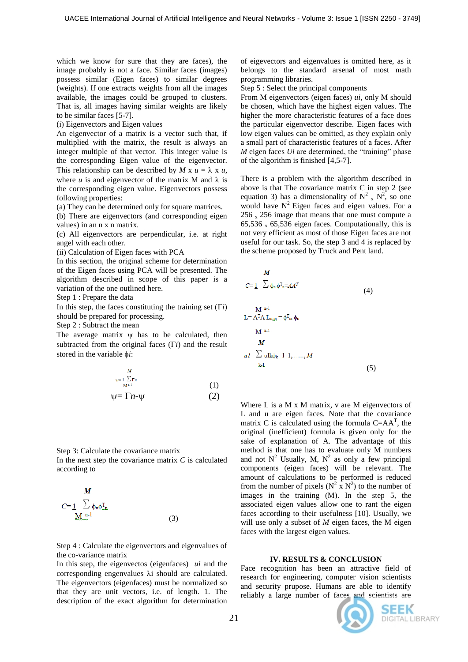which we know for sure that they are faces), the image probably is not a face. Similar faces (images) possess similar (Eigen faces) to similar degrees (weights). If one extracts weights from all the images available, the images could be grouped to clusters. That is, all images having similar weights are likely to be similar faces [5-7].

(i) Eigenvectors and Eigen values

An eigenvector of a matrix is a vector such that, if multiplied with the matrix, the result is always an integer multiple of that vector. This integer value is the corresponding Eigen value of the eigenvector. This relationship can be described by *M* x  $u = \lambda$  x  $u$ . where  $u$  is and eigenvector of the matrix M and  $\lambda$  is the corresponding eigen value. Eigenvectors possess following properties:

(a) They can be determined only for square matrices.

(b) There are eigenvectors (and corresponding eigen values) in an n x n matrix.

(c) All eigenvectors are perpendicular, i.e. at right angel with each other.

(ii) Calculation of Eigen faces with PCA

In this section, the original scheme for determination of the Eigen faces using PCA will be presented. The algorithm described in scope of this paper is a variation of the one outlined here.

Step 1 : Prepare the data

In this step, the faces constituting the training set  $(\Gamma i)$ should be prepared for processing.

Step 2 : Subtract the mean

The average matrix  $\psi$  has to be calculated, then subtracted from the original faces  $(\Gamma i)$  and the result stored in the variable  $\phi$ *i*:

$$
\psi = \sum_{M^{n+1}}^M \Gamma_n
$$
\n
$$
\psi = \Gamma n - \psi \tag{1}
$$

Step 3: Calculate the covariance matrix In the next step the covariance matrix  $C$  is calculated according to

$$
M
$$
  
\n
$$
C = \underbrace{1}_{\text{M.m.}^{n}} \sum_{\mu} \phi_{\mu} \phi_{\mu}^{T} \tag{3}
$$

Step 4 : Calculate the eigenvectors and eigenvalues of the co-variance matrix

In this step, the eigenvectos (eigenfaces) *ui* and the corresponding engenvalues  $\lambda$  i should are calculated. The eigenvectors (eigenfaces) must be normalized so that they are unit vectors, i.e. of length. 1. The description of the exact algorithm for determination

of eigevectors and eigenvalues is omitted here, as it belongs to the standard arsenal of most math programming libraries.

Step 5 : Select the principal components

From M eigenvectors (eigen faces) *ui*, only M should be chosen, which have the highest eigen values. The higher the more characteristic features of a face does the particular eigenvector describe. Eigen faces with low eigen values can be omitted, as they explain only a small part of characteristic features of a faces. After *M* eigen faces *Ui* are determined, the "training" phase of the algorithm is finished [4,5-7].

There is a problem with the algorithm described in above is that The covariance matrix C in step 2 (see equation 3) has a dimensionality of  $N^2$ <sub>x</sub>  $N^2$ <sup>2</sup>, so one would have  $N^2$  Eigen faces and eigen values. For a  $256 \times 256$  image that means that one must compute a 65,536  $\times$  65,536 eigen faces. Computationally, this is not very efficient as most of those Eigen faces are not useful for our task. So, the step 3 and 4 is replaced by the scheme proposed by Truck and Pent land.

$$
M
$$
  
\n
$$
C=\underline{1} \sum \phi_n \phi_{n}^T = A A^T
$$
\n
$$
L = A^T A L_{n,m} = \phi_{m}^T \phi_n
$$
\n
$$
M^{n-1}
$$
\n
$$
M
$$
\n
$$
uI = \sum \text{ulk}\phi_k = [1, \dots, M]
$$
\n
$$
(5)
$$

Where  $L$  is a  $M \times M$  matrix,  $v$  are  $M$  eigenvectors of L and u are eigen faces. Note that the covariance matrix C is calculated using the formula  $C = AA^T$ , the original (inefficient) formula is given only for the sake of explanation of A. The advantage of this method is that one has to evaluate only M numbers and not  $N^2$  Usually, M,  $N^2$  as only a few principal components (eigen faces) will be relevant. The amount of calculations to be performed is reduced from the number of pixels ( $N^2$  x  $N^2$ ) to the number of images in the training (M). In the step 5, the associated eigen values allow one to rant the eigen faces according to their usefulness [10]. Usually, we will use only a subset of *M* eigen faces, the M eigen faces with the largest eigen values.

## **IV. RESULTS & CONCLUSION**

Face recognition has been an attractive field of research for engineering, computer vision scientists and security prupose. Humans are able to identify reliably a large number of faces and scientists are

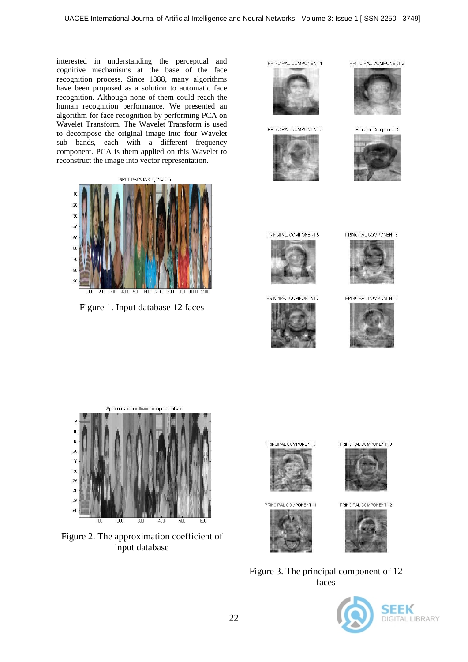interested in understanding the perceptual and cognitive mechanisms at the base of the face recognition process. Since 1888, many algorithms have been proposed as a solution to automatic face recognition. Although none of them could reach the human recognition performance. We presented an algorithm for face recognition by performing PCA on Wavelet Transform. The Wavelet Transform is used to decompose the original image into four Wavelet sub bands, each with a different frequency component. PCA is them applied on this Wavelet to reconstruct the image into vector representation.



Figure 1. Input database 12 faces

PRINCIPAL COMPONENT 1



PRINCIPAL COMPONENT 3





PRINCIPAL COMPONENT 2

Principal Component 4



PRINCIPAL COMPONENT 5



PRINCIPAL COMPONENT 7



PRINCIPAL COMPONENT 6



PRINCIPAL COMPONENT 8





Figure 2. The approximation coefficient of input database



PRINCIPAL COMPONENT 11



PRINCIPAL COMPONENT 10



PRINCIPAL COMPONENT 12



Figure 3. The principal component of 12 faces